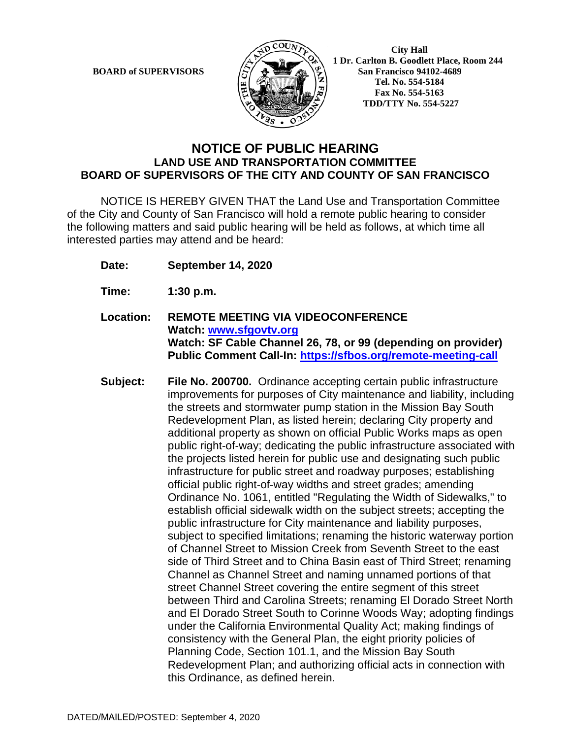

 **City Hall 1 Dr. Carlton B. Goodlett Place, Room 244 BOARD of SUPERVISORS**  $\left(\frac{S}{I}\right)$   $\oplus$   $\left(\frac{S}{I}\right)$  San Francisco 94102-4689  **Tel. No. 554-5184 Fax No. 554-5163 TDD/TTY No. 554-5227**

## **NOTICE OF PUBLIC HEARING LAND USE AND TRANSPORTATION COMMITTEE BOARD OF SUPERVISORS OF THE CITY AND COUNTY OF SAN FRANCISCO**

NOTICE IS HEREBY GIVEN THAT the Land Use and Transportation Committee of the City and County of San Francisco will hold a remote public hearing to consider the following matters and said public hearing will be held as follows, at which time all interested parties may attend and be heard:

- **Date: September 14, 2020**
- **Time: 1:30 p.m.**
- **Location: REMOTE MEETING VIA VIDEOCONFERENCE Watch: www.sfgovtv.org Watch: SF Cable Channel 26, 78, or 99 (depending on provider) Public Comment Call-In: https://sfbos.org/remote-meeting-call**
- **Subject: File No. 200700.** Ordinance accepting certain public infrastructure improvements for purposes of City maintenance and liability, including the streets and stormwater pump station in the Mission Bay South Redevelopment Plan, as listed herein; declaring City property and additional property as shown on official Public Works maps as open public right-of-way; dedicating the public infrastructure associated with the projects listed herein for public use and designating such public infrastructure for public street and roadway purposes; establishing official public right-of-way widths and street grades; amending Ordinance No. 1061, entitled "Regulating the Width of Sidewalks," to establish official sidewalk width on the subject streets; accepting the public infrastructure for City maintenance and liability purposes, subject to specified limitations; renaming the historic waterway portion of Channel Street to Mission Creek from Seventh Street to the east side of Third Street and to China Basin east of Third Street; renaming Channel as Channel Street and naming unnamed portions of that street Channel Street covering the entire segment of this street between Third and Carolina Streets; renaming El Dorado Street North and El Dorado Street South to Corinne Woods Way; adopting findings under the California Environmental Quality Act; making findings of consistency with the General Plan, the eight priority policies of Planning Code, Section 101.1, and the Mission Bay South Redevelopment Plan; and authorizing official acts in connection with this Ordinance, as defined herein.